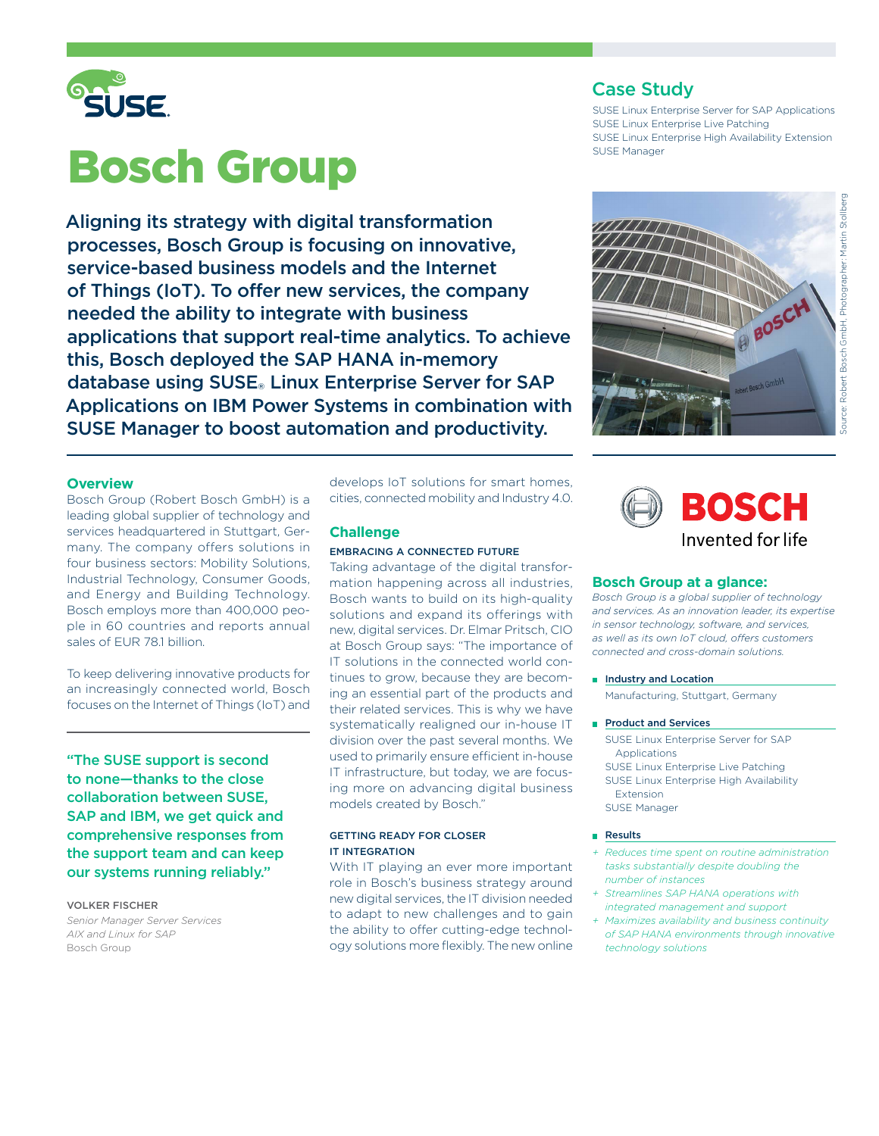

# Bosch Group

Aligning its strategy with digital transformation processes, Bosch Group is focusing on innovative, service-based business models and the Internet of Things (IoT). To offer new services, the company needed the ability to integrate with business applications that support real-time analytics. To achieve this, Bosch deployed the SAP HANA in-memory database using SUSE® Linux Enterprise Server for SAP Applications on IBM Power Systems in combination with SUSE Manager to boost automation and productivity.

# **Overview**

Bosch Group (Robert Bosch GmbH) is a leading global supplier of technology and services headquartered in Stuttgart, Germany. The company offers solutions in four business sectors: Mobility Solutions, Industrial Technology, Consumer Goods, and Energy and Building Technology. Bosch employs more than 400,000 people in 60 countries and reports annual sales of EUR 78.1 billion.

To keep delivering innovative products for an increasingly connected world, Bosch focuses on the Internet of Things (IoT) and

"The SUSE support is second to none—thanks to the close collaboration between SUSE, SAP and IBM, we get quick and comprehensive responses from the support team and can keep our systems running reliably."

## VOLKER FISCHER

*Senior Manager Server Services AIX and Linux for SAP* Bosch Group

develops IoT solutions for smart homes, cities, connected mobility and Industry 4.0.

# **Challenge**

## EMBRACING A CONNECTED FUTURE

Taking advantage of the digital transformation happening across all industries, Bosch wants to build on its high-quality solutions and expand its offerings with new, digital services. Dr. Elmar Pritsch, CIO at Bosch Group says: "The importance of IT solutions in the connected world continues to grow, because they are becoming an essential part of the products and their related services. This is why we have systematically realigned our in-house IT division over the past several months. We used to primarily ensure efficient in-house IT infrastructure, but today, we are focusing more on advancing digital business models created by Bosch."

## GETTING READY FOR CLOSER IT INTEGRATION

With IT playing an ever more important role in Bosch's business strategy around new digital services, the IT division needed to adapt to new challenges and to gain the ability to offer cutting-edge technology solutions more flexibly. The new online

# Case Study

SUSE Linux Enterprise Server for SAP Applications SUSE Linux Enterprise Live Patching SUSE Linux Enterprise High Availability Extension SUSE Manager





# **Bosch Group at a glance:**

*Bosch Group is a global supplier of technology and services. As an innovation leader, its expertise in sensor technology, software, and services, as well as its own IoT cloud, offers customers connected and cross-domain solutions.*

- **n** Industry and Location Manufacturing, Stuttgart, Germany
- Product and Services

SUSE Linux Enterprise Server for SAP Applications SUSE Linux Enterprise Live Patching SUSE Linux Enterprise High Availability Extension SUSE Manager

#### **Results**

- *+ Reduces time spent on routine administration tasks substantially despite doubling the number of instances*
- *+ Streamlines SAP HANA operations with integrated management and support*
- *+ Maximizes availability and business continuity of SAP HANA environments through innovative technology solutions*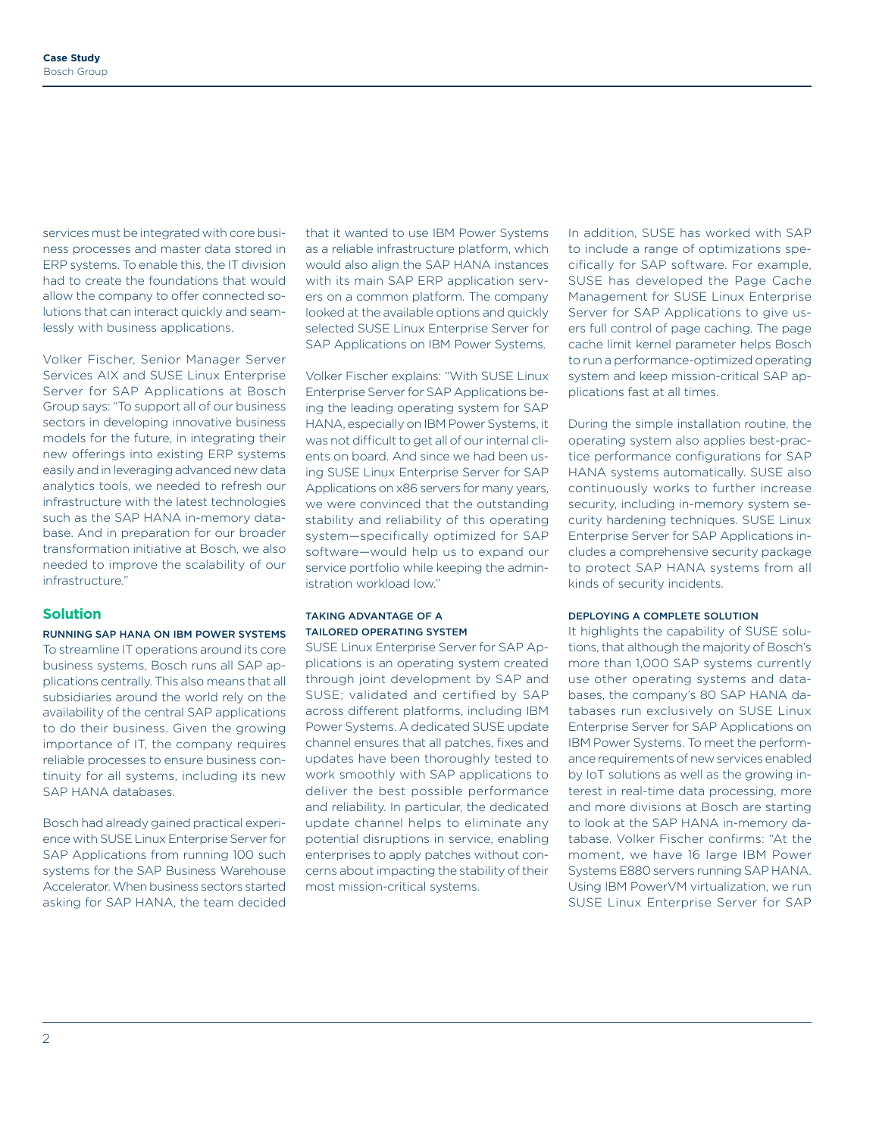services must be integrated with core business processes and master data stored in ERP systems. To enable this, the IT division had to create the foundations that would allow the company to offer connected solutions that can interact quickly and seamlessly with business applications.

Volker Fischer, Senior Manager Server Services AIX and SUSE Linux Enterprise Server for SAP Applications at Bosch Group says: "To support all of our business sectors in developing innovative business models for the future, in integrating their new offerings into existing ERP systems easily and in leveraging advanced new data analytics tools, we needed to refresh our infrastructure with the latest technologies such as the SAP HANA in-memory database. And in preparation for our broader transformation initiative at Bosch, we also needed to improve the scalability of our infrastructure."

# **Solution**

#### RUNNING SAP HANA ON IBM POWER SYSTEMS

To streamline IT operations around its core business systems, Bosch runs all SAP applications centrally. This also means that all subsidiaries around the world rely on the availability of the central SAP applications to do their business. Given the growing importance of IT, the company requires reliable processes to ensure business continuity for all systems, including its new SAP HANA databases.

Bosch had already gained practical experience with SUSE Linux Enterprise Server for SAP Applications from running 100 such systems for the SAP Business Warehouse Accelerator. When business sectors started asking for SAP HANA, the team decided

that it wanted to use IBM Power Systems as a reliable infrastructure platform, which would also align the SAP HANA instances with its main SAP ERP application servers on a common platform. The company looked at the available options and quickly selected SUSE Linux Enterprise Server for SAP Applications on IBM Power Systems.

Volker Fischer explains: "With SUSE Linux Enterprise Server for SAP Applications being the leading operating system for SAP HANA, especially on IBM Power Systems, it was not difficult to get all of our internal clients on board. And since we had been using SUSE Linux Enterprise Server for SAP Applications on x86 servers for many years, we were convinced that the outstanding stability and reliability of this operating system—specifically optimized for SAP software—would help us to expand our service portfolio while keeping the administration workload low."

## TAKING ADVANTAGE OF A TAILORED OPERATING SYSTEM

SUSE Linux Enterprise Server for SAP Applications is an operating system created through joint development by SAP and SUSE; validated and certified by SAP across different platforms, including IBM Power Systems. A dedicated SUSE update channel ensures that all patches, fixes and updates have been thoroughly tested to work smoothly with SAP applications to deliver the best possible performance and reliability. In particular, the dedicated update channel helps to eliminate any potential disruptions in service, enabling enterprises to apply patches without concerns about impacting the stability of their most mission-critical systems.

In addition, SUSE has worked with SAP to include a range of optimizations specifically for SAP software. For example, SUSE has developed the Page Cache Management for SUSE Linux Enterprise Server for SAP Applications to give users full control of page caching. The page cache limit kernel parameter helps Bosch to run a performance-optimized operating system and keep mission-critical SAP applications fast at all times.

During the simple installation routine, the operating system also applies best-practice performance configurations for SAP HANA systems automatically. SUSE also continuously works to further increase security, including in-memory system security hardening techniques. SUSE Linux Enterprise Server for SAP Applications includes a comprehensive security package to protect SAP HANA systems from all kinds of security incidents.

### DEPLOYING A COMPLETE SOLUTION

It highlights the capability of SUSE solutions, that although the majority of Bosch's more than 1,000 SAP systems currently use other operating systems and databases, the company's 80 SAP HANA databases run exclusively on SUSE Linux Enterprise Server for SAP Applications on IBM Power Systems. To meet the performance requirements of new services enabled by IoT solutions as well as the growing interest in real-time data processing, more and more divisions at Bosch are starting to look at the SAP HANA in-memory database. Volker Fischer confirms: "At the moment, we have 16 large IBM Power Systems E880 servers running SAP HANA. Using IBM PowerVM virtualization, we run SUSE Linux Enterprise Server for SAP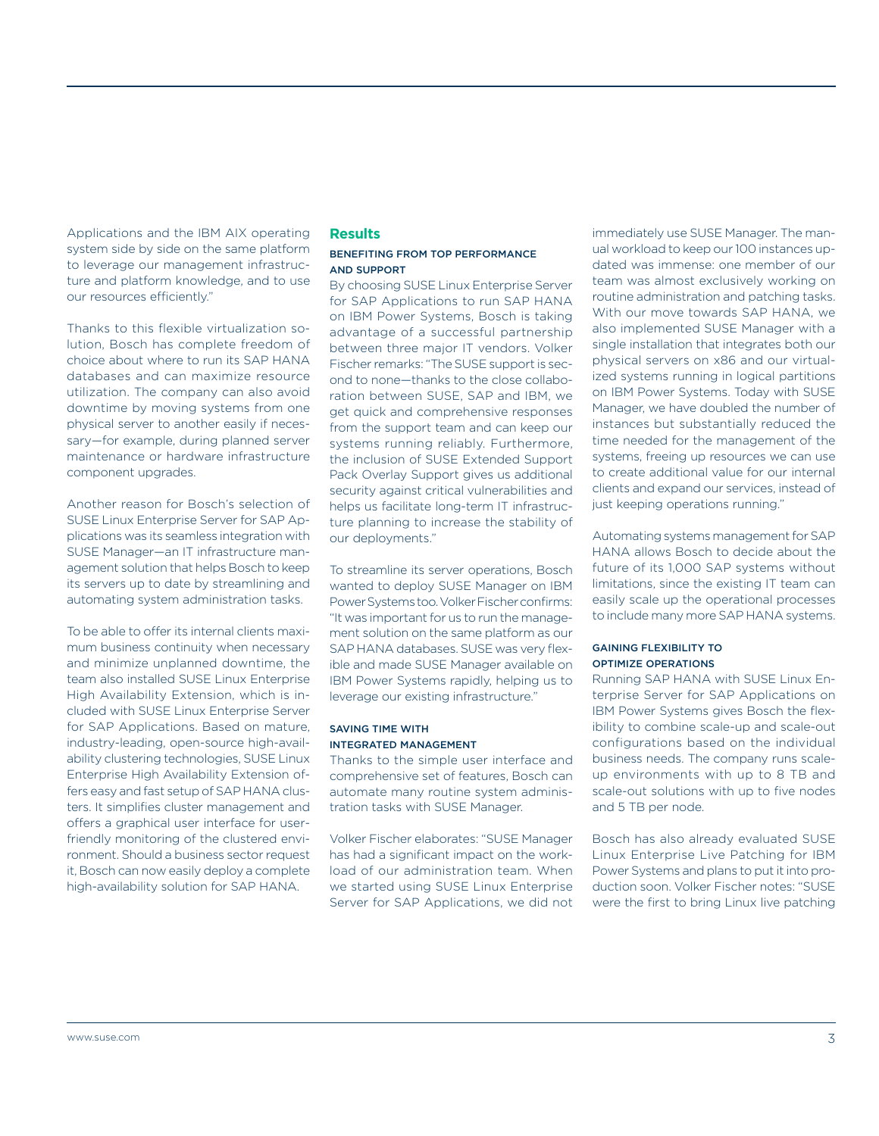sary—for example, during planned server maintenance or hardware infrastructure component upgrades.

our resources efficiently."

Another reason for Bosch's selection of SUSE Linux Enterprise Server for SAP Applications was its seamless integration with SUSE Manager—an IT infrastructure management solution that helps Bosch to keep its servers up to date by streamlining and automating system administration tasks.

Applications and the IBM AIX operating system side by side on the same platform to leverage our management infrastructure and platform knowledge, and to use

Thanks to this flexible virtualization solution, Bosch has complete freedom of choice about where to run its SAP HANA databases and can maximize resource utilization. The company can also avoid downtime by moving systems from one physical server to another easily if neces-

To be able to offer its internal clients maximum business continuity when necessary and minimize unplanned downtime, the team also installed SUSE Linux Enterprise High Availability Extension, which is included with SUSE Linux Enterprise Server for SAP Applications. Based on mature, industry-leading, open-source high-availability clustering technologies, SUSE Linux Enterprise High Availability Extension offers easy and fast setup of SAP HANA clusters. It simplifies cluster management and offers a graphical user interface for userfriendly monitoring of the clustered environment. Should a business sector request it, Bosch can now easily deploy a complete high-availability solution for SAP HANA.

## **Results**

## BENEFITING FROM TOP PERFORMANCE AND SUPPORT

By choosing SUSE Linux Enterprise Server for SAP Applications to run SAP HANA on IBM Power Systems, Bosch is taking advantage of a successful partnership between three major IT vendors. Volker Fischer remarks: "The SUSE support is second to none—thanks to the close collaboration between SUSE, SAP and IBM, we get quick and comprehensive responses from the support team and can keep our systems running reliably. Furthermore, the inclusion of SUSE Extended Support Pack Overlay Support gives us additional security against critical vulnerabilities and helps us facilitate long-term IT infrastructure planning to increase the stability of our deployments."

To streamline its server operations, Bosch wanted to deploy SUSE Manager on IBM Power Systems too. Volker Fischer confirms: "It was important for us to run the management solution on the same platform as our SAP HANA databases. SUSE was very flexible and made SUSE Manager available on IBM Power Systems rapidly, helping us to leverage our existing infrastructure."

# SAVING TIME WITH INTEGRATED MANAGEMENT

Thanks to the simple user interface and comprehensive set of features, Bosch can automate many routine system administration tasks with SUSE Manager.

Volker Fischer elaborates: "SUSE Manager has had a significant impact on the workload of our administration team. When we started using SUSE Linux Enterprise Server for SAP Applications, we did not immediately use SUSE Manager. The manual workload to keep our 100 instances updated was immense: one member of our team was almost exclusively working on routine administration and patching tasks. With our move towards SAP HANA, we also implemented SUSE Manager with a single installation that integrates both our physical servers on x86 and our virtualized systems running in logical partitions on IBM Power Systems. Today with SUSE Manager, we have doubled the number of instances but substantially reduced the time needed for the management of the systems, freeing up resources we can use to create additional value for our internal clients and expand our services, instead of just keeping operations running."

Automating systems management for SAP HANA allows Bosch to decide about the future of its 1,000 SAP systems without limitations, since the existing IT team can easily scale up the operational processes to include many more SAP HANA systems.

# GAINING FLEXIBILITY TO OPTIMIZE OPERATIONS

Running SAP HANA with SUSE Linux Enterprise Server for SAP Applications on IBM Power Systems gives Bosch the flexibility to combine scale-up and scale-out configurations based on the individual business needs. The company runs scaleup environments with up to 8 TB and scale-out solutions with up to five nodes and 5 TB per node.

Bosch has also already evaluated SUSE Linux Enterprise Live Patching for IBM Power Systems and plans to put it into production soon. Volker Fischer notes: "SUSE were the first to bring Linux live patching